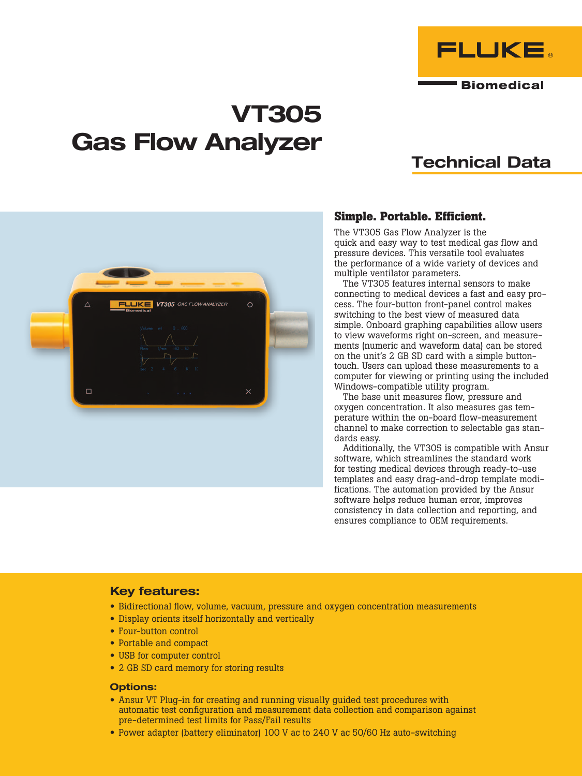

### **Biomedical**

# VT305 Gas Flow Analyzer

## Technical Data



### **Simple. Portable. Efficient.**

The VT305 Gas Flow Analyzer is the quick and easy way to test medical gas flow and pressure devices. This versatile tool evaluates the performance of a wide variety of devices and multiple ventilator parameters.

The VT305 features internal sensors to make connecting to medical devices a fast and easy process. The four-button front-panel control makes switching to the best view of measured data simple. Onboard graphing capabilities allow users to view waveforms right on-screen, and measurements (numeric and waveform data) can be stored on the unit's 2 GB SD card with a simple buttontouch. Users can upload these measurements to a computer for viewing or printing using the included Windows-compatible utility program.

The base unit measures flow, pressure and oxygen concentration. It also measures gas temperature within the on-board flow-measurement channel to make correction to selectable gas standards easy.

Additionally, the VT305 is compatible with Ansur software, which streamlines the standard work for testing medical devices through ready-to-use templates and easy drag-and-drop template modifications. The automation provided by the Ansur software helps reduce human error, improves consistency in data collection and reporting, and ensures compliance to OEM requirements.

### Key features:

- Bidirectional flow, volume, vacuum, pressure and oxygen concentration measurements
- Display orients itself horizontally and vertically
- Four-button control
- Portable and compact
- USB for computer control
- 2 GB SD card memory for storing results

### Options:

- Ansur VT Plug-in for creating and running visually guided test procedures with automatic test configuration and measurement data collection and comparison against pre-determined test limits for Pass/Fail results
- Power adapter (battery eliminator) 100 V ac to 240 V ac 50/60 Hz auto-switching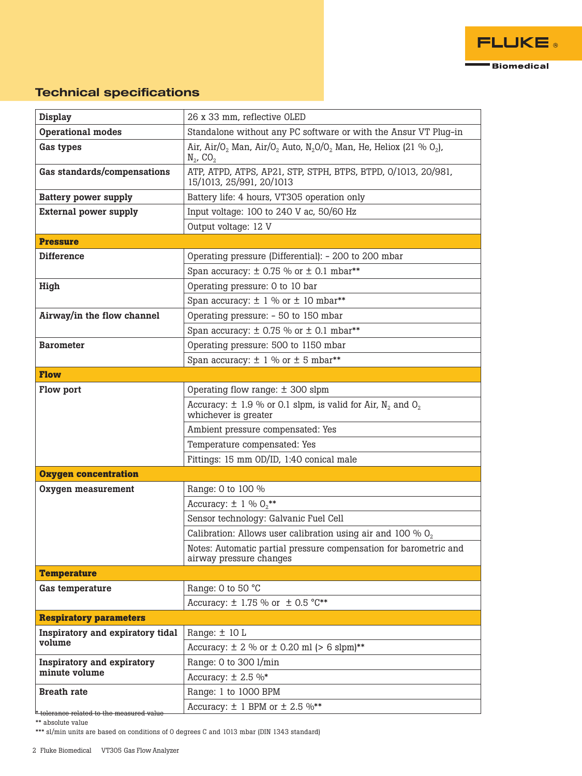

### Technical specifications

| <b>Display</b>                                     | 26 x 33 mm, reflective OLED                                                                                                                              |  |  |  |  |
|----------------------------------------------------|----------------------------------------------------------------------------------------------------------------------------------------------------------|--|--|--|--|
| Operational modes                                  | Standalone without any PC software or with the Ansur VT Plug-in                                                                                          |  |  |  |  |
| Gas types                                          | Air, Air/O <sub>2</sub> Man, Air/O <sub>2</sub> Auto, N <sub>2</sub> O/O <sub>2</sub> Man, He, Heliox (21 % O <sub>2</sub> ),<br>$N_2$ , CO <sub>2</sub> |  |  |  |  |
| Gas standards/compensations                        | ATP, ATPD, ATPS, AP21, STP, STPH, BTPS, BTPD, 0/1013, 20/981,<br>15/1013, 25/991, 20/1013                                                                |  |  |  |  |
| <b>Battery power supply</b>                        | Battery life: 4 hours, VT305 operation only                                                                                                              |  |  |  |  |
| <b>External power supply</b>                       | Input voltage: 100 to 240 V ac, 50/60 Hz                                                                                                                 |  |  |  |  |
|                                                    | Output voltage: 12 V                                                                                                                                     |  |  |  |  |
| <b>Pressure</b>                                    |                                                                                                                                                          |  |  |  |  |
| <b>Difference</b>                                  | Operating pressure (Differential): - 200 to 200 mbar                                                                                                     |  |  |  |  |
|                                                    | Span accuracy: $\pm$ 0.75 % or $\pm$ 0.1 mbar**                                                                                                          |  |  |  |  |
| High                                               | Operating pressure: 0 to 10 bar                                                                                                                          |  |  |  |  |
|                                                    | Span accuracy: $\pm$ 1 % or $\pm$ 10 mbar**                                                                                                              |  |  |  |  |
| Airway/in the flow channel                         | Operating pressure: - 50 to 150 mbar                                                                                                                     |  |  |  |  |
|                                                    | Span accuracy: $\pm$ 0.75 % or $\pm$ 0.1 mbar**                                                                                                          |  |  |  |  |
| <b>Barometer</b>                                   | Operating pressure: 500 to 1150 mbar                                                                                                                     |  |  |  |  |
|                                                    | Span accuracy: $\pm$ 1 % or $\pm$ 5 mbar**                                                                                                               |  |  |  |  |
| <b>Flow</b>                                        |                                                                                                                                                          |  |  |  |  |
| Flow port                                          | Operating flow range: $\pm$ 300 slpm                                                                                                                     |  |  |  |  |
|                                                    | Accuracy: $\pm$ 1.9 % or 0.1 slpm, is valid for Air, N <sub>2</sub> and O <sub>2</sub><br>whichever is greater                                           |  |  |  |  |
|                                                    | Ambient pressure compensated: Yes                                                                                                                        |  |  |  |  |
|                                                    | Temperature compensated: Yes                                                                                                                             |  |  |  |  |
|                                                    | Fittings: 15 mm OD/ID, 1:40 conical male                                                                                                                 |  |  |  |  |
| <b>Oxygen concentration</b>                        |                                                                                                                                                          |  |  |  |  |
| Oxygen measurement                                 | Range: 0 to 100 %                                                                                                                                        |  |  |  |  |
|                                                    | Accuracy: $\pm$ 1 % $O_2$ **                                                                                                                             |  |  |  |  |
|                                                    | Sensor technology: Galvanic Fuel Cell                                                                                                                    |  |  |  |  |
|                                                    | Calibration: Allows user calibration using air and 100 % $O_2$                                                                                           |  |  |  |  |
|                                                    | Notes: Automatic partial pressure compensation for barometric and<br>airway pressure changes                                                             |  |  |  |  |
| <b>Temperature</b>                                 |                                                                                                                                                          |  |  |  |  |
| Gas temperature                                    | Range: 0 to 50 °C                                                                                                                                        |  |  |  |  |
|                                                    | Accuracy: $\pm$ 1.75 % or $\pm$ 0.5 °C**                                                                                                                 |  |  |  |  |
| <b>Respiratory parameters</b>                      |                                                                                                                                                          |  |  |  |  |
| Inspiratory and expiratory tidal                   | Range: $\pm$ 10 L                                                                                                                                        |  |  |  |  |
| volume                                             | Accuracy: $\pm$ 2 % or $\pm$ 0.20 ml (> 6 slpm)**                                                                                                        |  |  |  |  |
| <b>Inspiratory and expiratory</b><br>minute volume | Range: 0 to 300 l/min                                                                                                                                    |  |  |  |  |
|                                                    | Accuracy: $\pm$ 2.5 %*                                                                                                                                   |  |  |  |  |
| <b>Breath rate</b>                                 | Range: 1 to 1000 BPM                                                                                                                                     |  |  |  |  |
| $^\ast$ tolerance related to the measured value    | Accuracy: $\pm$ 1 BPM or $\pm$ 2.5 %**                                                                                                                   |  |  |  |  |

\*\* absolute value

\*\*\* sl/min units are based on conditions of 0 degrees C and 1013 mbar (DIN 1343 standard)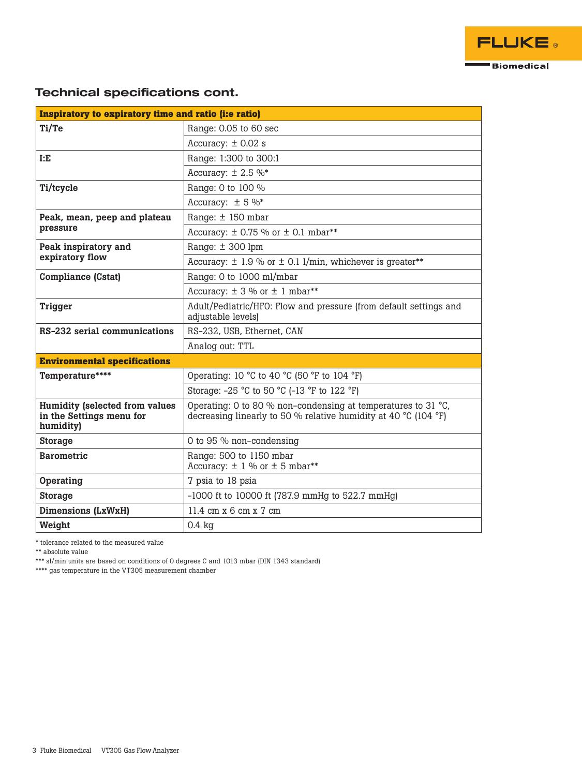

### Technical specifications cont.

| Inspiratory to expiratory time and ratio (i:e ratio)                           |                                                                                                                                  |  |  |  |
|--------------------------------------------------------------------------------|----------------------------------------------------------------------------------------------------------------------------------|--|--|--|
| Ti/Te                                                                          | Range: 0.05 to 60 sec                                                                                                            |  |  |  |
|                                                                                | Accuracy: $\pm$ 0.02 s                                                                                                           |  |  |  |
| I: E                                                                           | Range: 1:300 to 300:1                                                                                                            |  |  |  |
|                                                                                | Accuracy: $\pm$ 2.5 %*                                                                                                           |  |  |  |
| Ti/tcycle                                                                      | Range: 0 to 100 %                                                                                                                |  |  |  |
|                                                                                | Accuracy: $\pm$ 5 %*                                                                                                             |  |  |  |
| Peak, mean, peep and plateau<br>pressure                                       | Range: ± 150 mbar                                                                                                                |  |  |  |
|                                                                                | Accuracy: $\pm$ 0.75 % or $\pm$ 0.1 mbar**                                                                                       |  |  |  |
| Peak inspiratory and<br>expiratory flow                                        | Range: $\pm$ 300 lpm                                                                                                             |  |  |  |
|                                                                                | Accuracy: $\pm$ 1.9 % or $\pm$ 0.1 l/min, whichever is greater**                                                                 |  |  |  |
| <b>Compliance (Cstat)</b>                                                      | Range: 0 to 1000 ml/mbar                                                                                                         |  |  |  |
|                                                                                | Accuracy: $\pm$ 3 % or $\pm$ 1 mbar**                                                                                            |  |  |  |
| <b>Trigger</b>                                                                 | Adult/Pediatric/HFO: Flow and pressure (from default settings and<br>adjustable levels)                                          |  |  |  |
| RS-232 serial communications                                                   | RS-232, USB, Ethernet, CAN                                                                                                       |  |  |  |
|                                                                                | Analog out: TTL                                                                                                                  |  |  |  |
| <b>Environmental specifications</b>                                            |                                                                                                                                  |  |  |  |
| Temperature****                                                                | Operating: 10 °C to 40 °C (50 °F to 104 °F)                                                                                      |  |  |  |
|                                                                                | Storage: -25 °C to 50 °C (-13 °F to 122 °F)                                                                                      |  |  |  |
| <b>Humidity (selected from values</b><br>in the Settings menu for<br>humidity) | Operating: 0 to 80 % non-condensing at temperatures to 31 °C,<br>decreasing linearly to 50 % relative humidity at 40 °C (104 °F) |  |  |  |
| <b>Storage</b>                                                                 | 0 to 95 % non-condensing                                                                                                         |  |  |  |
| <b>Barometric</b>                                                              | Range: 500 to 1150 mbar<br>Accuracy: $\pm$ 1 % or $\pm$ 5 mbar**                                                                 |  |  |  |
| Operating                                                                      | 7 psia to 18 psia                                                                                                                |  |  |  |
| <b>Storage</b>                                                                 | $-1000$ ft to 10000 ft (787.9 mmHg to 522.7 mmHg)                                                                                |  |  |  |
| Dimensions (LxWxH)                                                             | $11.4 \text{ cm} \times 6 \text{ cm} \times 7 \text{ cm}$                                                                        |  |  |  |
| Weight                                                                         | $0.4$ kg                                                                                                                         |  |  |  |

\* tolerance related to the measured value

\*\* absolute value

\*\*\* sl/min units are based on conditions of 0 degrees C and 1013 mbar (DIN 1343 standard)

\*\*\*\* gas temperature in the VT305 measurement chamber